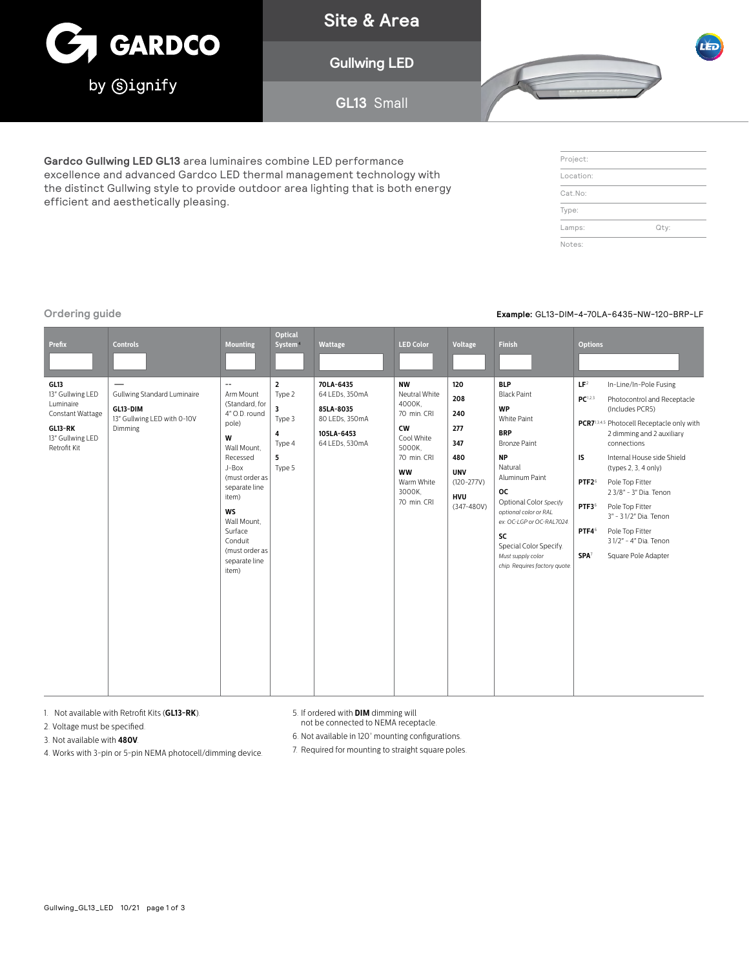

**Site & Area**

**Gullwing LED**

**GL13** Small



**Gardco Gullwing LED GL13** area luminaires combine LED performance excellence and advanced Gardco LED thermal management technology with the distinct Gullwing style to provide outdoor area lighting that is both energy efficient and aesthetically pleasing.

| Project:  |      |
|-----------|------|
| Location: |      |
| Cat.No:   |      |
| Type:     |      |
| Lamps:    | Qty: |
| Notes:    |      |

# **Ordering guide Example:** GL13-DIM-4-70LA-6435-NW-120-BRP-LF

| <b>Prefix</b>                                                                                            | <b>Controls</b>                                                                   | <b>Mounting</b>                                                                                                                                                                                                                                                      | <b>Optical</b><br>System <sup>®</sup>                                 | <b>Wattage</b>                                                                             | <b>LED Color</b>                                                                                                                                     | Voltage                                                                                                | <b>Finish</b>                                                                                                                                                                                                                                                                                                                  | <b>Options</b>                                                                                                                 |                                                                                                                                                                                                                                                                                                                                                                                                  |
|----------------------------------------------------------------------------------------------------------|-----------------------------------------------------------------------------------|----------------------------------------------------------------------------------------------------------------------------------------------------------------------------------------------------------------------------------------------------------------------|-----------------------------------------------------------------------|--------------------------------------------------------------------------------------------|------------------------------------------------------------------------------------------------------------------------------------------------------|--------------------------------------------------------------------------------------------------------|--------------------------------------------------------------------------------------------------------------------------------------------------------------------------------------------------------------------------------------------------------------------------------------------------------------------------------|--------------------------------------------------------------------------------------------------------------------------------|--------------------------------------------------------------------------------------------------------------------------------------------------------------------------------------------------------------------------------------------------------------------------------------------------------------------------------------------------------------------------------------------------|
| GL13<br>13" Gullwing LED<br>Luminaire<br>Constant Wattage<br>GL13-RK<br>13" Gullwing LED<br>Retrofit Kit | Gullwing Standard Luminaire<br>GL13-DIM<br>13" Gullwing LED with 0-10V<br>Dimming | $\overline{\phantom{a}}$<br>Arm Mount<br>(Standard, for<br>4" O.D. round<br>pole)<br>W<br>Wall Mount.<br>Recessed<br>J-Box<br>(must order as<br>separate line<br>item)<br><b>WS</b><br>Wall Mount.<br>Surface<br>Conduit<br>(must order as<br>separate line<br>item) | $\overline{2}$<br>Type 2<br>3<br>Type 3<br>4<br>Type 4<br>5<br>Type 5 | 70LA-6435<br>64 LEDs, 350mA<br>85LA-8035<br>80 LEDs, 350mA<br>105LA-6453<br>64 LEDs, 530mA | <b>NW</b><br>Neutral White<br>4000K,<br>70 min. CRI<br><b>CW</b><br>Cool White<br>5000K.<br>70 min. CRI<br>ww<br>Warm White<br>3000K.<br>70 min. CRI | 120<br>208<br>240<br>277<br>347<br>480<br><b>UNV</b><br>$(120 - 277V)$<br><b>HVU</b><br>$(347 - 480V)$ | <b>BLP</b><br><b>Black Paint</b><br><b>WP</b><br>White Paint<br><b>BRP</b><br><b>Bronze Paint</b><br><b>NP</b><br>Natural<br>Aluminum Paint<br><b>OC</b><br>Optional Color Specify<br>optional color or RAL<br>ex: OC-LGP or OC-RAL7024.<br>SC<br>Special Color Specify.<br>Must supply color<br>chip. Requires factory quote. | LF <sup>2</sup><br>PC <sup>1,2,3</sup><br>IS<br>PTF <sub>2<sup>6</sup></sub><br>PTF3 <sup>6</sup><br>PTF46<br>SPA <sup>7</sup> | In-Line/In-Pole Fusing<br>Photocontrol and Receptacle<br>(Includes PCR5)<br>PCR7 <sup>1,3,4,5</sup> Photocell Receptacle only with<br>2 dimming and 2 auxiliary<br>connections<br>Internal House side Shield<br>(types 2, 3, 4 only)<br>Pole Top Fitter<br>2 3/8" - 3" Dia. Tenon<br>Pole Top Fitter<br>3" - 31/2" Dia. Tenon<br>Pole Top Fitter<br>31/2" - 4" Dia. Tenon<br>Square Pole Adapter |

1. Not available with Retrofit Kits (**GL13-RK**).

2. Voltage must be specified.

3. Not available with **480V**.

4. Works with 3-pin or 5-pin NEMA photocell/dimming device.

5. If ordered with **DIM** dimming will not be connected to NEMA receptacle.

6. Not available in 120° mounting configurations.

7. Required for mounting to straight square poles.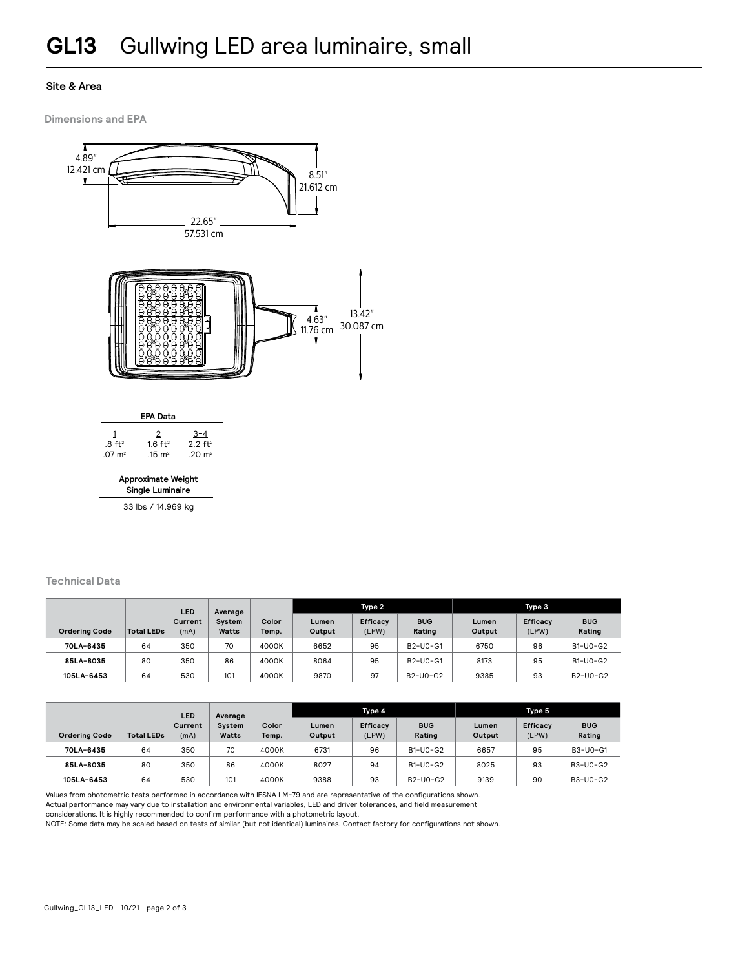# **Site & Area**

**Dimensions and EPA**





**Approximate Weight Single Luminaire**

33 lbs / 14.969 kg

# **Technical Data**

|                      |                   | <b>LED</b>      | Average         |                | Type 2          |                          |                      | Type 3          |                          |                      |
|----------------------|-------------------|-----------------|-----------------|----------------|-----------------|--------------------------|----------------------|-----------------|--------------------------|----------------------|
| <b>Ordering Code</b> | <b>Total LEDs</b> | Current<br>(mA) | System<br>Watts | Color<br>Temp. | Lumen<br>Output | <b>Efficacy</b><br>(LPW) | <b>BUG</b><br>Rating | Lumen<br>Output | <b>Efficacy</b><br>(LPW) | <b>BUG</b><br>Rating |
| 70LA-6435            | 64                | 350             | 70              | 4000K          | 6652            | 95                       | B2-U0-G1             | 6750            | 96                       | B1-U0-G2             |
| 85LA-8035            | 80                | 350             | 86              | 4000K          | 8064            | 95                       | B2-U0-G1             | 8173            | 95                       | B1-U0-G2             |
| 105LA-6453           | 64                | 530             | 101             | 4000K          | 9870            | 97                       | B2-U0-G2             | 9385            | 93                       | B2-U0-G2             |

|                      |            | LED             | Average<br>System<br>Color<br>Watts<br>Temp. |       | Type 4          |                          |                      | Type 5          |                          |                      |
|----------------------|------------|-----------------|----------------------------------------------|-------|-----------------|--------------------------|----------------------|-----------------|--------------------------|----------------------|
| <b>Ordering Code</b> | Total LEDs | Current<br>(mA) |                                              |       | Lumen<br>Output | <b>Efficacy</b><br>(LPW) | <b>BUG</b><br>Rating | Lumen<br>Output | <b>Efficacy</b><br>(LPW) | <b>BUG</b><br>Rating |
| 70LA-6435            | 64         | 350             | 70                                           | 4000K | 6731            | 96                       | B1-U0-G2             | 6657            | 95                       | B3-U0-G1             |
| 85LA-8035            | 80         | 350             | 86                                           | 4000K | 8027            | 94                       | B1-U0-G2             | 8025            | 93                       | B3-U0-G2             |
| 105LA-6453           | 64         | 530             | 101                                          | 4000K | 9388            | 93                       | B2-U0-G2             | 9139            | 90                       | B3-U0-G2             |

Values from photometric tests performed in accordance with IESNA LM-79 and are representative of the configurations shown.

Actual performance may vary due to installation and environmental variables, LED and driver tolerances, and field measurement

considerations. It is highly recommended to confirm performance with a photometric layout.

NOTE: Some data may be scaled based on tests of similar (but not identical) luminaires. Contact factory for configurations not shown.